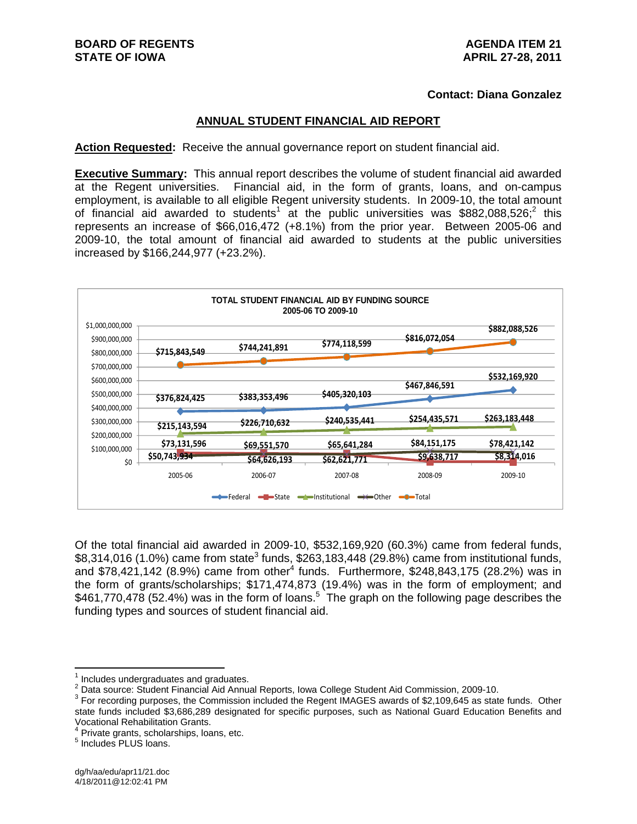## **Contact: Diana Gonzalez**

### **ANNUAL STUDENT FINANCIAL AID REPORT**

**Action Requested:** Receive the annual governance report on student financial aid.

**Executive Summary:** This annual report describes the volume of student financial aid awarded at the Regent universities. Financial aid, in the form of grants, loans, and on-campus employment, is available to all eligible Regent university students. In 2009-10, the total amount of financial aid awarded to students<sup>1</sup> at the public universities was \$882,088,526;<sup>2</sup> this represents an increase of \$66,016,472 (+8.1%) from the prior year. Between 2005-06 and 2009-10, the total amount of financial aid awarded to students at the public universities increased by \$166,244,977 (+23.2%).



Of the total financial aid awarded in 2009-10, \$532,169,920 (60.3%) came from federal funds,  $$8,314,016$  (1.0%) came from state<sup>3</sup> funds,  $$263,183,448$  (29.8%) came from institutional funds, and \$78,421,142 (8.9%) came from other<sup>4</sup> funds. Furthermore, \$248,843,175 (28.2%) was in the form of grants/scholarships; \$171,474,873 (19.4%) was in the form of employment; and \$461,770,478 (52.4%) was in the form of loans.<sup>5</sup> The graph on the following page describes the funding types and sources of student financial aid.

<sup>1</sup> Includes undergraduates and graduates.

<sup>&</sup>lt;sup>2</sup> Data source: Student Financial Aid Annual Reports, Iowa College Student Aid Commission, 2009-10.<br><sup>3</sup> Eer reserving purposes, the Commission included the Begant IMACES quards of \$2,100,645 as state

<sup>&</sup>lt;sup>3</sup> For recording purposes, the Commission included the Regent IMAGES awards of \$2,109,645 as state funds. Other state funds included \$3,686,289 designated for specific purposes, such as National Guard Education Benefits and Vocational Rehabilitation Grants. 4

 $4$  Private grants, scholarships, loans, etc.

<sup>&</sup>lt;sup>5</sup> Includes PLUS loans.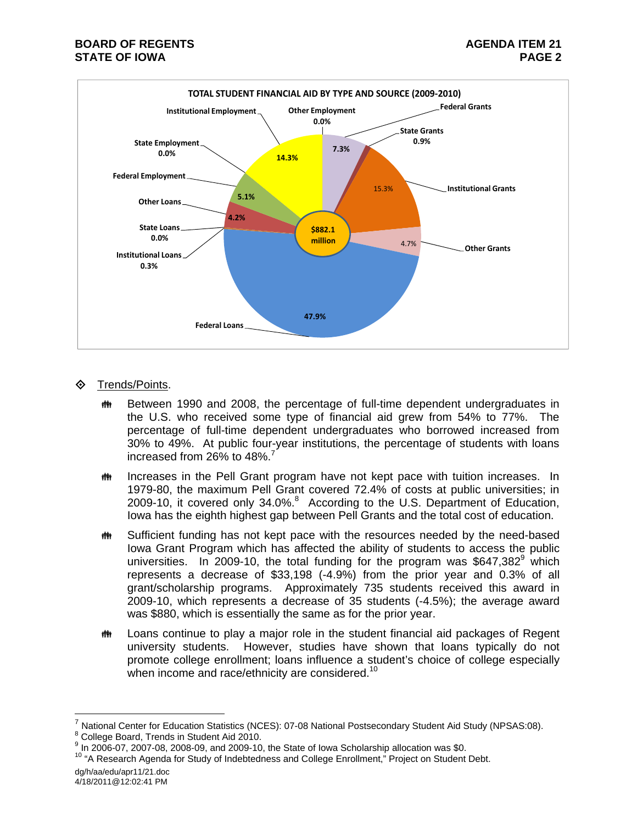

- Trends/Points.
	- **##** Between 1990 and 2008, the percentage of full-time dependent undergraduates in the U.S. who received some type of financial aid grew from 54% to 77%. The percentage of full-time dependent undergraduates who borrowed increased from 30% to 49%. At public four-year institutions, the percentage of students with loans increased from 26% to 48%.<sup>7</sup>
	- **ING EXTERN** Increases in the Pell Grant program have not kept pace with tuition increases. In 1979-80, the maximum Pell Grant covered 72.4% of costs at public universities; in 2009-10, it covered only 34.0%.<sup>8</sup> According to the U.S. Department of Education, Iowa has the eighth highest gap between Pell Grants and the total cost of education.
	- **##** Sufficient funding has not kept pace with the resources needed by the need-based Iowa Grant Program which has affected the ability of students to access the public universities. In 2009-10, the total funding for the program was  $$647,382^9$  which represents a decrease of \$33,198 (-4.9%) from the prior year and 0.3% of all grant/scholarship programs. Approximately 735 students received this award in 2009-10, which represents a decrease of 35 students (-4.5%); the average award was \$880, which is essentially the same as for the prior year.
	- Loans continue to play a major role in the student financial aid packages of Regent university students. However, studies have shown that loans typically do not promote college enrollment; loans influence a student's choice of college especially when income and race/ethnicity are considered.<sup>10</sup>

dg/h/aa/edu/apr11/21.doc 4/18/2011@12:02:41 PM

National Center for Education Statistics (NCES): 07-08 National Postsecondary Student Aid Study (NPSAS:08).

College Board, Trends in Student Aid 2010.

<sup>&</sup>lt;sup>9</sup> In 2006-07, 2007-08, 2008-09, and 2009-10, the State of Iowa Scholarship allocation was \$0.

 $10$  "A Research Agenda for Study of Indebtedness and College Enrollment," Project on Student Debt.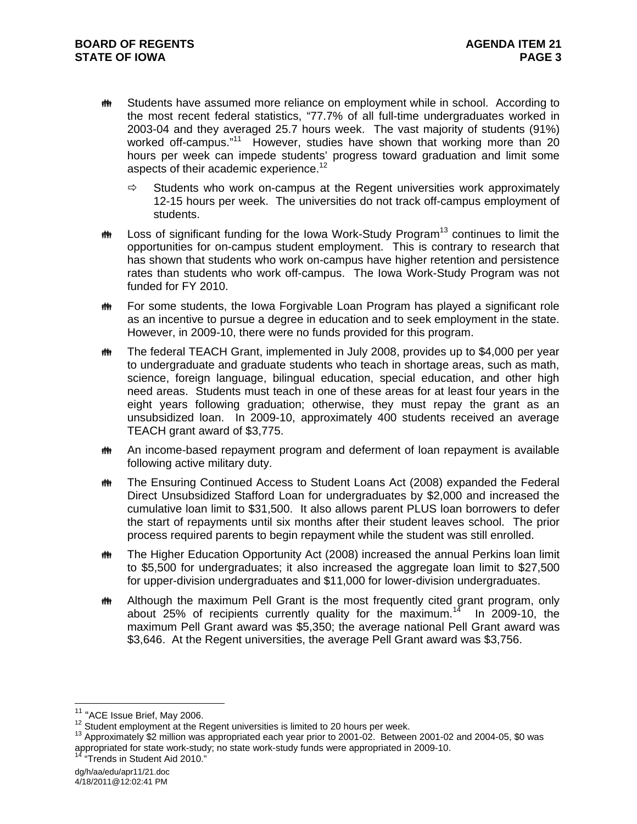- **##** Students have assumed more reliance on employment while in school. According to the most recent federal statistics, "77.7% of all full-time undergraduates worked in 2003-04 and they averaged 25.7 hours week. The vast majority of students (91%) worked off-campus."<sup>11</sup> However, studies have shown that working more than 20 hours per week can impede students' progress toward graduation and limit some aspects of their academic experience.<sup>12</sup>
	- $\Rightarrow$  Students who work on-campus at the Regent universities work approximately 12-15 hours per week. The universities do not track off-campus employment of students.
- $\ddot{\mathbf{m}}$  Loss of significant funding for the Iowa Work-Study Program<sup>13</sup> continues to limit the opportunities for on-campus student employment. This is contrary to research that has shown that students who work on-campus have higher retention and persistence rates than students who work off-campus. The Iowa Work-Study Program was not funded for FY 2010.
- **##** For some students, the Iowa Forgivable Loan Program has played a significant role as an incentive to pursue a degree in education and to seek employment in the state. However, in 2009-10, there were no funds provided for this program.
- **##** The federal TEACH Grant, implemented in July 2008, provides up to \$4,000 per year to undergraduate and graduate students who teach in shortage areas, such as math, science, foreign language, bilingual education, special education, and other high need areas. Students must teach in one of these areas for at least four years in the eight years following graduation; otherwise, they must repay the grant as an unsubsidized loan. In 2009-10, approximately 400 students received an average TEACH grant award of \$3,775.
- **##** An income-based repayment program and deferment of loan repayment is available following active military duty.
- The Ensuring Continued Access to Student Loans Act (2008) expanded the Federal Direct Unsubsidized Stafford Loan for undergraduates by \$2,000 and increased the cumulative loan limit to \$31,500. It also allows parent PLUS loan borrowers to defer the start of repayments until six months after their student leaves school. The prior process required parents to begin repayment while the student was still enrolled.
- **##** The Higher Education Opportunity Act (2008) increased the annual Perkins loan limit to \$5,500 for undergraduates; it also increased the aggregate loan limit to \$27,500 for upper-division undergraduates and \$11,000 for lower-division undergraduates.
- **##** Although the maximum Pell Grant is the most frequently cited grant program, only about 25% of recipients currently quality for the maximum.<sup>14</sup> In 2009-10, the maximum Pell Grant award was \$5,350; the average national Pell Grant award was \$3,646. At the Regent universities, the average Pell Grant award was \$3,756.

<sup>&</sup>lt;sup>11</sup> "ACE Issue Brief, May 2006.

<sup>&</sup>lt;sup>12</sup> Student employment at the Regent universities is limited to 20 hours per week.<br><sup>13</sup> Approximately \$2 million was appropriated each year prior to 2001-02. Between 2001-02 and 2004-05, \$0 was appropriated for state work-study; no state work-study funds were appropriated in 2009-10.<br><sup>14</sup> "Trends in Student Aid 2010."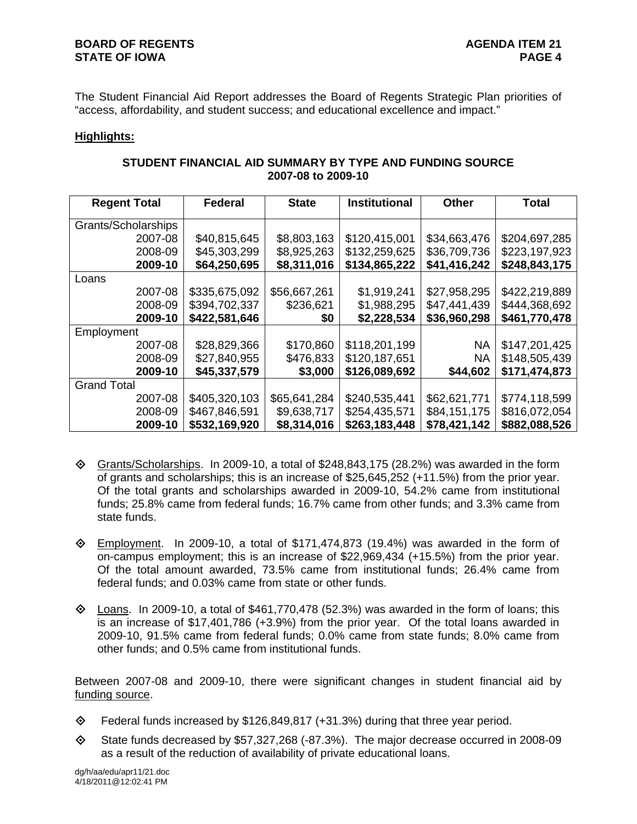The Student Financial Aid Report addresses the Board of Regents Strategic Plan priorities of "access, affordability, and student success; and educational excellence and impact."

### **Highlights:**

| STUDENT FINANCIAL AID SUMMARY BY TYPE AND FUNDING SOURCE |  |
|----------------------------------------------------------|--|
| 2007-08 to 2009-10                                       |  |

| <b>Regent Total</b> | <b>Federal</b> | <b>State</b> | <b>Institutional</b> | <b>Other</b> | <b>Total</b>  |
|---------------------|----------------|--------------|----------------------|--------------|---------------|
| Grants/Scholarships |                |              |                      |              |               |
| 2007-08             | \$40,815,645   | \$8,803,163  | \$120,415,001        | \$34,663,476 | \$204,697,285 |
| 2008-09             | \$45,303,299   | \$8,925,263  | \$132,259,625        | \$36,709,736 | \$223,197,923 |
| 2009-10             | \$64,250,695   | \$8,311,016  | \$134,865,222        | \$41,416,242 | \$248,843,175 |
| Loans               |                |              |                      |              |               |
| 2007-08             | \$335,675,092  | \$56,667,261 | \$1,919,241          | \$27,958,295 | \$422,219,889 |
| 2008-09             | \$394,702,337  | \$236,621    | \$1,988,295          | \$47,441,439 | \$444,368,692 |
| 2009-10             | \$422,581,646  | \$0          | \$2,228,534          | \$36,960,298 | \$461,770,478 |
| Employment          |                |              |                      |              |               |
| 2007-08             | \$28,829,366   | \$170,860    | \$118,201,199        | <b>NA</b>    | \$147,201,425 |
| 2008-09             | \$27,840,955   | \$476,833    | \$120,187,651        | <b>NA</b>    | \$148,505,439 |
| 2009-10             | \$45,337,579   | \$3,000      | \$126,089,692        | \$44,602     | \$171,474,873 |
| <b>Grand Total</b>  |                |              |                      |              |               |
| 2007-08             | \$405,320,103  | \$65,641,284 | \$240,535,441        | \$62,621,771 | \$774,118,599 |
| 2008-09             | \$467,846,591  | \$9,638,717  | \$254,435,571        | \$84,151,175 | \$816,072,054 |
| 2009-10             | \$532,169,920  | \$8,314,016  | \$263,183,448        | \$78,421,142 | \$882,088,526 |

- $\Diamond$  Grants/Scholarships. In 2009-10, a total of \$248,843,175 (28.2%) was awarded in the form of grants and scholarships; this is an increase of \$25,645,252 (+11.5%) from the prior year. Of the total grants and scholarships awarded in 2009-10, 54.2% came from institutional funds; 25.8% came from federal funds; 16.7% came from other funds; and 3.3% came from state funds.
- $\diamond$  Employment. In 2009-10, a total of \$171,474,873 (19.4%) was awarded in the form of on-campus employment; this is an increase of \$22,969,434 (+15.5%) from the prior year. Of the total amount awarded, 73.5% came from institutional funds; 26.4% came from federal funds; and 0.03% came from state or other funds.
- $\Diamond$  Loans. In 2009-10, a total of \$461,770,478 (52.3%) was awarded in the form of loans; this is an increase of \$17,401,786 (+3.9%) from the prior year. Of the total loans awarded in 2009-10, 91.5% came from federal funds; 0.0% came from state funds; 8.0% came from other funds; and 0.5% came from institutional funds.

Between 2007-08 and 2009-10, there were significant changes in student financial aid by funding source.

- Federal funds increased by \$126,849,817 (+31.3%) during that three year period.
- $\diamond$  State funds decreased by \$57,327,268 (-87.3%). The major decrease occurred in 2008-09 as a result of the reduction of availability of private educational loans.

dg/h/aa/edu/apr11/21.doc 4/18/2011@12:02:41 PM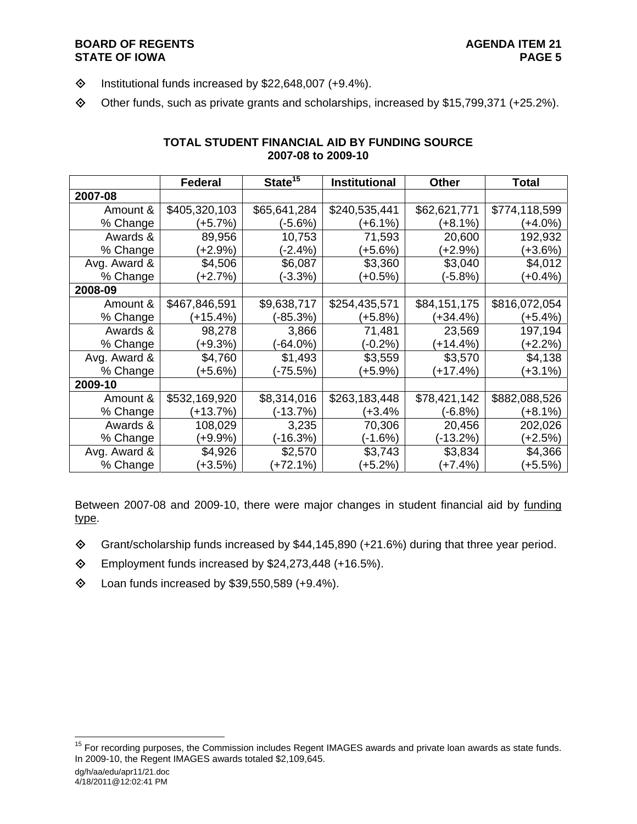## **BOARD OF REGENTS AGENDA ITEM 21 STATE OF IOWA**

- $\diamond$  Institutional funds increased by \$22,648,007 (+9.4%).
- Other funds, such as private grants and scholarships, increased by \$15,799,371 (+25.2%).

|              | <b>Federal</b> | State <sup>15</sup> | <b>Institutional</b> | Other        | <b>Total</b>  |
|--------------|----------------|---------------------|----------------------|--------------|---------------|
| 2007-08      |                |                     |                      |              |               |
| Amount &     | \$405,320,103  | \$65,641,284        | \$240,535,441        | \$62,621,771 | \$774,118,599 |
| % Change     | $(+5.7%)$      | $(-5.6%)$           | $(+6.1%)$            | (+8.1%)      | $(+4.0\%)$    |
| Awards &     | 89,956         | 10,753              | 71,593               | 20,600       | 192,932       |
| % Change     | $+2.9%$        | $(-2.4%)$           | $(+5.6%)$            | $(+2.9%)$    | $(+3.6%)$     |
| Avg. Award & | \$4,506        | \$6,087             | \$3,360              | \$3,040      | \$4,012       |
| % Change     | $(+2.7%)$      | $(-3.3%)$           | $(+0.5%)$            | $(-5.8%)$    | $(+0.4\%)$    |
| 2008-09      |                |                     |                      |              |               |
| Amount &     | \$467,846,591  | \$9,638,717         | \$254,435,571        | \$84,151,175 | \$816,072,054 |
| % Change     | (+15.4%)       | $(-85.3%)$          | $(+5.8%)$            | (+34.4%)     | $(+5.4%)$     |
| Awards &     | 98,278         | 3,866               | 71,481               | 23,569       | 197,194       |
| % Change     | $+9.3%$        | $(-64.0\%)$         | $(-0.2\%)$           | $(+14.4%)$   | $(+2.2%)$     |
| Avg. Award & | \$4,760        | \$1,493             | \$3,559              | \$3,570      | \$4,138       |
| % Change     | $+5.6%$        | (-75.5%)            | (+5.9%)              | $(+17.4%)$   | $(+3.1\%)$    |
| 2009-10      |                |                     |                      |              |               |
| Amount &     | \$532,169,920  | \$8,314,016         | \$263,183,448        | \$78,421,142 | \$882,088,526 |
| % Change     | $(+13.7%)$     | (-13.7%)            | (+3.4%               | $(-6.8%)$    | $(+8.1\%)$    |
| Awards &     | 108,029        | 3,235               | 70,306               | 20,456       | 202,026       |
| % Change     | $+9.9%$        | (-16.3%)            | (-1.6%)              | (-13.2%)     | $(+2.5%)$     |
| Avg. Award & | \$4,926        | \$2,570             | \$3,743              | \$3,834      | \$4,366       |
| % Change     | $(+3.5%)$      | $(+72.1%)$          | $(+5.2%)$            | (+7.4%)      | $(+5.5%)$     |

# **TOTAL STUDENT FINANCIAL AID BY FUNDING SOURCE 2007-08 to 2009-10**

Between 2007-08 and 2009-10, there were major changes in student financial aid by funding type.

- Grant/scholarship funds increased by \$44,145,890 (+21.6%) during that three year period.
- Employment funds increased by \$24,273,448 (+16.5%).
- $\textcircled{4}$  Loan funds increased by \$39,550,589 (+9.4%).

dg/h/aa/edu/apr11/21.doc

<sup>&</sup>lt;sup>15</sup> For recording purposes, the Commission includes Regent IMAGES awards and private loan awards as state funds. In 2009-10, the Regent IMAGES awards totaled \$2,109,645.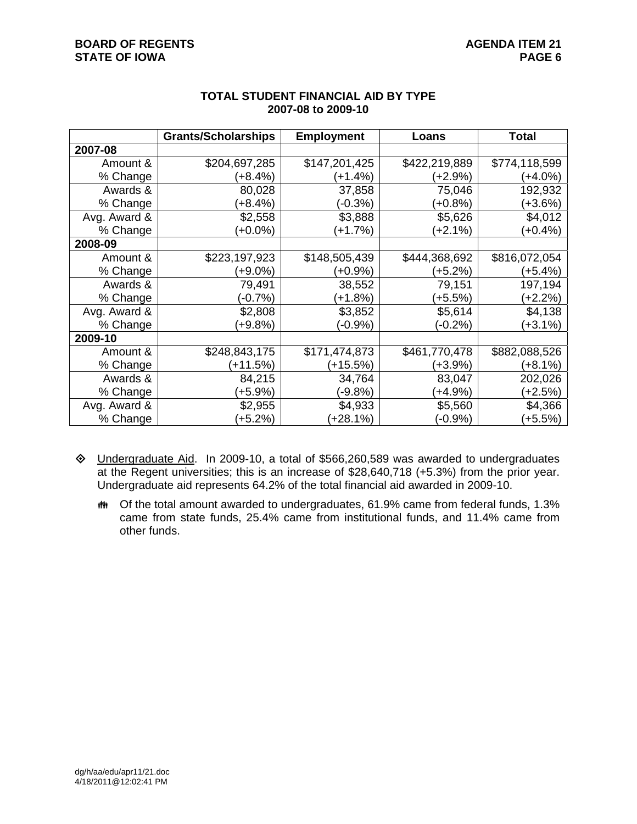|              | <b>Grants/Scholarships</b> | <b>Employment</b> | Loans         | <b>Total</b>  |
|--------------|----------------------------|-------------------|---------------|---------------|
| 2007-08      |                            |                   |               |               |
| Amount &     | \$204,697,285              | \$147,201,425     | \$422,219,889 | \$774,118,599 |
| % Change     | $(+8.4%)$                  | $(+1.4%)$         | (+2.9%)       | $(+4.0\%)$    |
| Awards &     | 80,028                     | 37,858            | 75,046        | 192,932       |
| % Change     | $(+8.4%)$                  | $(-0.3%)$         | (+0.8%)       | (+3.6%)       |
| Avg. Award & | \$2,558                    | \$3,888           | \$5,626       | \$4,012       |
| % Change     | $(+0.0\%)$                 | $(+1.7%)$         | (+2.1%)       | $(+0.4\%)$    |
| 2008-09      |                            |                   |               |               |
| Amount &     | \$223,197,923              | \$148,505,439     | \$444,368,692 | \$816,072,054 |
| % Change     | (+9.0%)                    | (+0.9%)           | (+5.2%)       | (+5.4%)       |
| Awards &     | 79,491                     | 38,552            | 79,151        | 197,194       |
| % Change     | $(-0.7%)$                  | $(+1.8%)$         | (+5.5%)       | (+2.2%)       |
| Avg. Award & | \$2,808                    | \$3,852           | \$5,614       | \$4,138       |
| % Change     | $(+9.8%)$                  | (-0.9%)           | (-0.2%)       | (+3.1%)       |
| 2009-10      |                            |                   |               |               |
| Amount &     | \$248,843,175              | \$171,474,873     | \$461,770,478 | \$882,088,526 |
| % Change     | $(+11.5%)$                 | (+15.5%)          | (+3.9%)       | (+8.1%)       |
| Awards &     | 84,215                     | 34,764            | 83,047        | 202,026       |
| % Change     | $(+5.9\%)$                 | (-9.8%)           | (+4.9%)       | (+2.5%)       |
| Avg. Award & | \$2,955                    | \$4,933           | \$5,560       | \$4,366       |
| % Change     | $(+5.2%)$                  | $(+28.1%)$        | (-0.9%)       | $(+5.5%)$     |

## **TOTAL STUDENT FINANCIAL AID BY TYPE 2007-08 to 2009-10**

- Undergraduate Aid. In 2009-10, a total of \$566,260,589 was awarded to undergraduates at the Regent universities; this is an increase of \$28,640,718 (+5.3%) from the prior year. Undergraduate aid represents 64.2% of the total financial aid awarded in 2009-10.
	- Of the total amount awarded to undergraduates, 61.9% came from federal funds, 1.3% came from state funds, 25.4% came from institutional funds, and 11.4% came from other funds.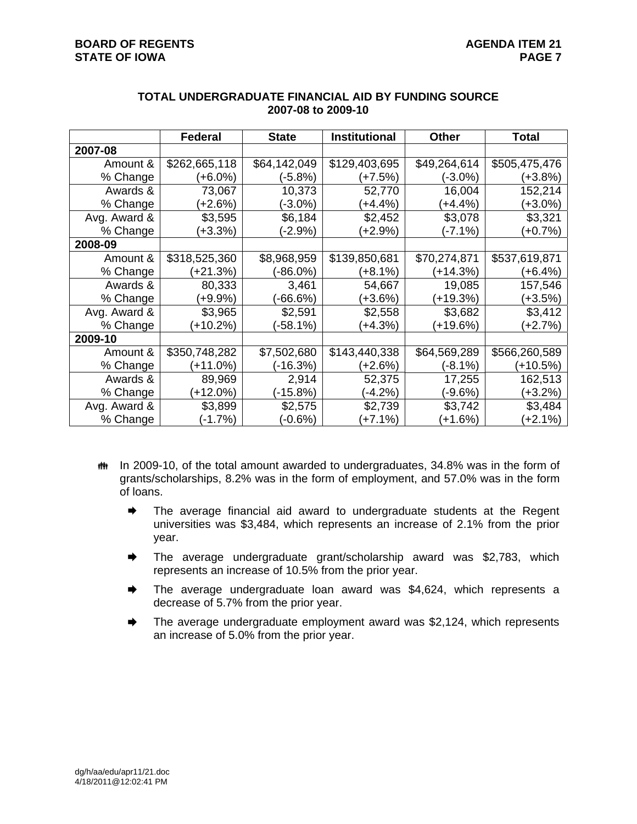|              | <b>Federal</b> | <b>State</b> | <b>Institutional</b> | <b>Other</b> | Total         |
|--------------|----------------|--------------|----------------------|--------------|---------------|
| 2007-08      |                |              |                      |              |               |
| Amount &     | \$262,665,118  | \$64,142,049 | \$129,403,695        | \$49,264,614 | \$505,475,476 |
| % Change     | $(+6.0\%)$     | (-5.8%)      | $(+7.5%)$            | $(-3.0\%)$   | (+3.8%)       |
| Awards &     | 73,067         | 10,373       | 52,770               | 16,004       | 152,214       |
| % Change     | $(+2.6%)$      | (-3.0%)      | $(+4.4\%)$           | (+4.4%)      | (+3.0%)       |
| Avg. Award & | \$3,595        | \$6,184      | \$2,452              | \$3,078      | \$3,321       |
| % Change     | $(+3.3%)$      | (-2.9%)      | $(+2.9\%)$           | (-7.1%)      | $(+0.7%)$     |
| 2008-09      |                |              |                      |              |               |
| Amount &     | \$318,525,360  | \$8,968,959  | \$139,850,681        | \$70,274,871 | \$537,619,871 |
| % Change     | $(+21.3%)$     | $(-86.0\%)$  | (+8.1%)              | $(+14.3%)$   | (+6.4%)       |
| Awards &     | 80,333         | 3,461        | 54,667               | 19,085       | 157,546       |
| % Change     | (+9.9%)        | (-66.6%)     | (+3.6%)              | (+19.3%)     | (+3.5%)       |
| Avg. Award & | \$3,965        | \$2,591      | \$2,558              | \$3,682      | \$3,412       |
| % Change     | $+10.2%$       | (-58.1%)     | $(+4.3%)$            | (+19.6%)     | $(+2.7%)$     |
| 2009-10      |                |              |                      |              |               |
| Amount &     | \$350,748,282  | \$7,502,680  | \$143,440,338        | \$64,569,289 | \$566,260,589 |
| % Change     | $(+11.0%)$     | $(-16.3%)$   | (+2.6%)              | (-8.1%)      | (+10.5%)      |
| Awards &     | 89,969         | 2,914        | 52,375               | 17,255       | 162,513       |
| % Change     | $(+12.0\%)$    | (-15.8%)     | $(-4.2%)$            | (-9.6%)      | (+3.2%)       |
| Avg. Award & | \$3,899        | \$2,575      | \$2,739              | \$3,742      | \$3,484       |
| % Change     | (-1.7%)        | (-0.6%)      | $(+7.1%)$            | (+1.6%)      | $(+2.1%)$     |

#### **TOTAL UNDERGRADUATE FINANCIAL AID BY FUNDING SOURCE 2007-08 to 2009-10**

- **##** In 2009-10, of the total amount awarded to undergraduates, 34.8% was in the form of grants/scholarships, 8.2% was in the form of employment, and 57.0% was in the form of loans.
	- $\rightarrow$  The average financial aid award to undergraduate students at the Regent universities was \$3,484, which represents an increase of 2.1% from the prior year.
	- **■** The average undergraduate grant/scholarship award was \$2,783, which represents an increase of 10.5% from the prior year.
	- **→** The average undergraduate loan award was \$4,624, which represents a decrease of 5.7% from the prior year.
	- The average undergraduate employment award was \$2,124, which represents an increase of 5.0% from the prior year.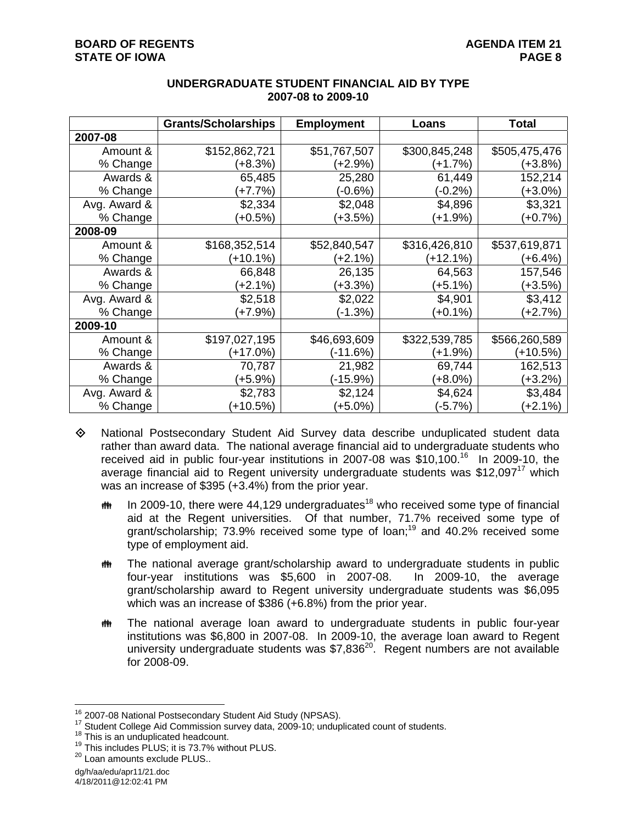|              | <b>Grants/Scholarships</b> | <b>Employment</b> | Loans         | <b>Total</b>  |
|--------------|----------------------------|-------------------|---------------|---------------|
| 2007-08      |                            |                   |               |               |
| Amount &     | \$152,862,721              | \$51,767,507      | \$300,845,248 | \$505,475,476 |
| % Change     | $(+8.3%)$                  | (+2.9%)           | (+1.7%)       | (+3.8%)       |
| Awards &     | 65,485                     | 25,280            | 61,449        | 152,214       |
| % Change     | (+7.7%)                    | $(-0.6%)$         | (-0.2%)       | (+3.0%)       |
| Avg. Award & | \$2,334                    | \$2,048           | \$4,896       | \$3,321       |
| % Change     | (+0.5%)                    | $(+3.5%)$         | (+1.9%)       | $(+0.7%)$     |
| 2008-09      |                            |                   |               |               |
| Amount &     | \$168,352,514              | \$52,840,547      | \$316,426,810 | \$537,619,871 |
| % Change     | (+10.1%)                   | (+2.1%)           | $(+12.1%)$    | (+6.4%)       |
| Awards &     | 66,848                     | 26,135            | 64,563        | 157,546       |
| % Change     | (+2.1%)                    | $(+3.3%)$         | (+5.1%)       | (+3.5%)       |
| Avg. Award & | \$2,518                    | \$2,022           | \$4,901       | \$3,412       |
| % Change     | $(+7.9%)$                  | $(-1.3%)$         | (+0.1%)       | $(+2.7%)$     |
| 2009-10      |                            |                   |               |               |
| Amount &     | \$197,027,195              | \$46,693,609      | \$322,539,785 | \$566,260,589 |
| % Change     | (+17.0%)                   | $(-11.6%)$        | (+1.9%)       | (+10.5%)      |
| Awards &     | 70,787                     | 21,982            | 69,744        | 162,513       |
| % Change     | (+5.9%)                    | (-15.9%)          | (+8.0%)       | (+3.2%)       |
| Avg. Award & | \$2,783                    | \$2,124           | \$4,624       | \$3,484       |
| % Change     | $+10.5%$                   | (+5.0%)           | $(-5.7%)$     | $(+2.1\%)$    |

### **UNDERGRADUATE STUDENT FINANCIAL AID BY TYPE 2007-08 to 2009-10**

- National Postsecondary Student Aid Survey data describe unduplicated student data rather than award data. The national average financial aid to undergraduate students who received aid in public four-year institutions in 2007-08 was  $$10,100$ <sup>16</sup> In 2009-10, the average financial aid to Regent university undergraduate students was \$12,097<sup>17</sup> which was an increase of \$395 (+3.4%) from the prior year.
	- $\ddot{\mathbf{m}}$  In 2009-10, there were 44,129 undergraduates<sup>18</sup> who received some type of financial aid at the Regent universities. Of that number, 71.7% received some type of grant/scholarship; 73.9% received some type of loan;<sup>19</sup> and 40.2% received some type of employment aid.
	- The national average grant/scholarship award to undergraduate students in public four-year institutions was \$5,600 in 2007-08. In 2009-10, the average grant/scholarship award to Regent university undergraduate students was \$6,095 which was an increase of \$386 (+6.8%) from the prior year.
	- The national average loan award to undergraduate students in public four-year institutions was \$6,800 in 2007-08. In 2009-10, the average loan award to Regent university undergraduate students was \$7,836<sup>20</sup>. Regent numbers are not available for 2008-09.

<sup>&</sup>lt;sup>16</sup> 2007-08 National Postsecondary Student Aid Study (NPSAS).

<sup>&</sup>lt;sup>17</sup> Student College Aid Commission survey data, 2009-10; unduplicated count of students.<br><sup>18</sup> This is an unduplicated headcount.<br><sup>19</sup> This includes PLUS; it is 73.7% without PLUS.<br><sup>20</sup> Loan amounts exclude PLUS..

dg/h/aa/edu/apr11/21.doc

<sup>4/18/2011@12:02:41</sup> PM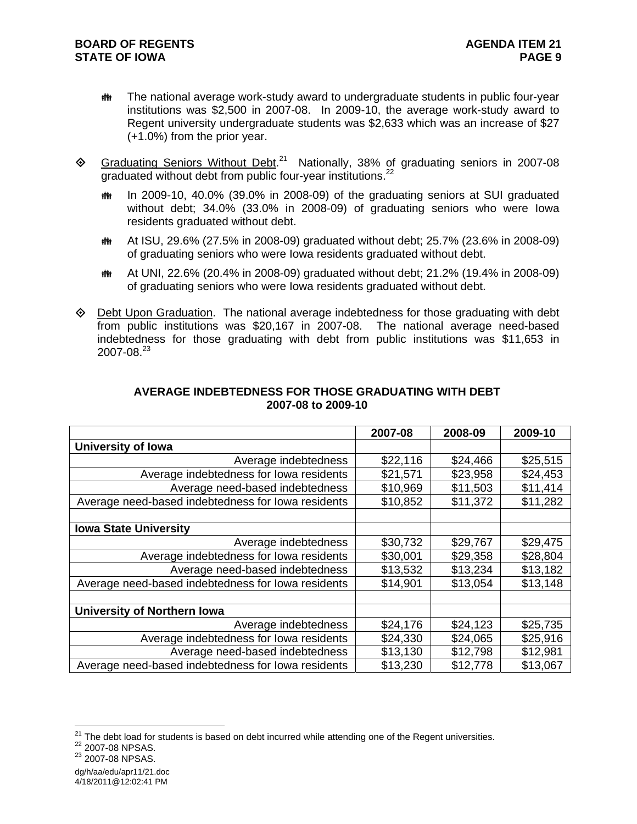- **##** The national average work-study award to undergraduate students in public four-year institutions was \$2,500 in 2007-08. In 2009-10, the average work-study award to Regent university undergraduate students was \$2,633 which was an increase of \$27 (+1.0%) from the prior year.
- $\textcircled{}$  Graduating Seniors Without Debt.<sup>21</sup> Nationally, 38% of graduating seniors in 2007-08 graduated without debt from public four-year institutions.<sup>22</sup>
	- $m$  In 2009-10, 40.0% (39.0% in 2008-09) of the graduating seniors at SUI graduated without debt; 34.0% (33.0% in 2008-09) of graduating seniors who were Iowa residents graduated without debt.
	- At ISU, 29.6% (27.5% in 2008-09) graduated without debt; 25.7% (23.6% in 2008-09) of graduating seniors who were Iowa residents graduated without debt.
	- At UNI, 22.6% (20.4% in 2008-09) graduated without debt; 21.2% (19.4% in 2008-09) of graduating seniors who were Iowa residents graduated without debt.
- $\Diamond$  Debt Upon Graduation. The national average indebtedness for those graduating with debt from public institutions was \$20,167 in 2007-08. The national average need-based indebtedness for those graduating with debt from public institutions was \$11,653 in 2007-08.<sup>23</sup>

|                                                    | 2007-08  | 2008-09  | 2009-10  |
|----------------------------------------------------|----------|----------|----------|
| <b>University of Iowa</b>                          |          |          |          |
| Average indebtedness                               | \$22,116 | \$24,466 | \$25,515 |
| Average indebtedness for lowa residents            | \$21,571 | \$23,958 | \$24,453 |
| Average need-based indebtedness                    | \$10,969 | \$11,503 | \$11,414 |
| Average need-based indebtedness for lowa residents | \$10,852 | \$11,372 | \$11,282 |
|                                                    |          |          |          |
| <b>Iowa State University</b>                       |          |          |          |
| Average indebtedness                               | \$30,732 | \$29,767 | \$29,475 |
| Average indebtedness for lowa residents            | \$30,001 | \$29,358 | \$28,804 |
| Average need-based indebtedness                    | \$13,532 | \$13,234 | \$13,182 |
| Average need-based indebtedness for lowa residents | \$14,901 | \$13,054 | \$13,148 |
|                                                    |          |          |          |
| University of Northern Iowa                        |          |          |          |
| Average indebtedness                               | \$24,176 | \$24,123 | \$25,735 |
| Average indebtedness for lowa residents            | \$24,330 | \$24,065 | \$25,916 |
| Average need-based indebtedness                    | \$13,130 | \$12,798 | \$12,981 |
| Average need-based indebtedness for lowa residents | \$13,230 | \$12,778 | \$13,067 |

### **AVERAGE INDEBTEDNESS FOR THOSE GRADUATING WITH DEBT 2007-08 to 2009-10**

 $\overline{a}$ <sup>21</sup> The debt load for students is based on debt incurred while attending one of the Regent universities.<br><sup>22</sup> 2007-08 NPSAS.<br><sup>23</sup> 2007-08 NPSAS.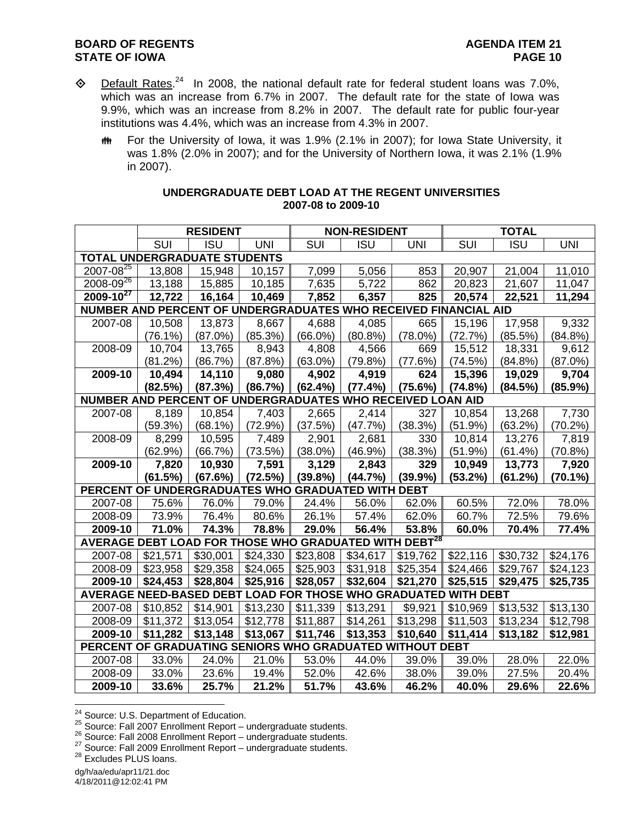## **BOARD OF REGENTS AGENUS AGENDA ITEM 21 STATE OF IOWA PAGE 10**

- $\diamond$  Default Rates.<sup>24</sup> In 2008, the national default rate for federal student loans was 7.0%, which was an increase from 6.7% in 2007. The default rate for the state of Iowa was 9.9%, which was an increase from 8.2% in 2007. The default rate for public four-year institutions was 4.4%, which was an increase from 4.3% in 2007.
	- **##** For the University of Iowa, it was 1.9% (2.1% in 2007); for Iowa State University, it was 1.8% (2.0% in 2007); and for the University of Northern Iowa, it was 2.1% (1.9% in 2007).

|                                                                   |          | <b>RESIDENT</b> |                      |                                    | <b>NON-RESIDENT</b> |            |          | <b>TOTAL</b> |                  |
|-------------------------------------------------------------------|----------|-----------------|----------------------|------------------------------------|---------------------|------------|----------|--------------|------------------|
|                                                                   | SUI      | <b>ISU</b>      | <b>UNI</b>           | $\overline{\overline{\text{SUI}}}$ | <b>ISU</b>          | <b>UNI</b> | SUI      | <b>ISU</b>   | $\overline{UNI}$ |
| <b>TOTAL UNDERGRADUATE STUDENTS</b>                               |          |                 |                      |                                    |                     |            |          |              |                  |
| $2007 - 08^{25}$                                                  | 13,808   | 15,948          | 10,157               | 7,099                              | 5,056               | 853        | 20,907   | 21,004       | 11,010           |
| $2008 - 09^{26}$                                                  | 13,188   | 15,885          | 10,185               | 7,635                              | 5,722               | 862        | 20,823   | 21,607       | 11,047           |
| $2009 - 10^{27}$                                                  | 12,722   | 16,164          | 10,469               | 7,852                              | 6,357               | 825        | 20,574   | 22,521       | 11,294           |
| NUMBER AND PERCENT OF UNDERGRADUATES WHO RECEIVED FINANCIAL AID   |          |                 |                      |                                    |                     |            |          |              |                  |
| 2007-08                                                           | 10,508   | 13,873          | 8,667                | 4,688                              | 4,085               | 665        | 15,196   | 17,958       | 9,332            |
|                                                                   | (76.1%)  | (87.0%)         | (85.3%)              | $(66.0\%)$                         | $(80.8\%)$          | $(78.0\%)$ | (72.7%)  | (85.5%)      | (84.8%)          |
| 2008-09                                                           | 10,704   | 13,765          | 8,943                | 4,808                              | 4,566               | 669        | 15,512   | 18,331       | 9,612            |
|                                                                   | (81.2%)  | (86.7%)         | (87.8%)              | $(63.0\%)$                         | (79.8%)             | (77.6%)    | (74.5%)  | (84.8%)      | $(87.0\%)$       |
| 2009-10                                                           | 10,494   | 14,110          | 9,080                | 4,902                              | 4,919               | 624        | 15,396   | 19,029       | 9,704            |
|                                                                   | (82.5%)  | (87.3%)         | (86.7%)              | (62.4%)                            | (77.4%)             | (75.6%)    | (74.8%)  | (84.5%)      | (85.9%)          |
| NUMBER AND PERCENT OF UNDERGRADUATES WHO RECEIVED LOAN AID        |          |                 |                      |                                    |                     |            |          |              |                  |
| 2007-08                                                           | 8,189    | 10,854          | 7,403                | 2,665                              | 2,414               | 327        | 10,854   | 13,268       | 7,730            |
|                                                                   | (59.3%)  | $(68.1\%)$      | (72.9%)              | (37.5%)                            | (47.7%)             | (38.3%)    | (51.9%)  | (63.2%)      | (70.2%)          |
| 2008-09                                                           | 8,299    | 10,595          | 7,489                | 2,901                              | 2,681               | 330        | 10,814   | 13,276       | 7,819            |
|                                                                   | (62.9%)  | (66.7%)         | (73.5%)              | $(38.0\%)$                         | (46.9%)             | (38.3%)    | (51.9%)  | (61.4%)      | (70.8%)          |
| 2009-10                                                           | 7,820    | 10,930          | 7,591                | 3,129                              | 2,843               | 329        | 10,949   | 13,773       | 7,920            |
|                                                                   | (61.5%)  | (67.6%)         | (72.5%)              | (39.8%)                            | (44.7%)             | (39.9%)    | (53.2%)  | (61.2%)      | $(70.1\%)$       |
| PERCENT OF UNDERGRADUATES WHO GRADUATED WITH DEBT                 |          |                 |                      |                                    |                     |            |          |              |                  |
| 2007-08                                                           | 75.6%    | 76.0%           | 79.0%                | 24.4%                              | 56.0%               | 62.0%      | 60.5%    | 72.0%        | 78.0%            |
| 2008-09                                                           | 73.9%    | 76.4%           | 80.6%                | 26.1%                              | 57.4%               | 62.0%      | 60.7%    | 72.5%        | 79.6%            |
| 2009-10                                                           | 71.0%    | 74.3%           | 78.8%                | 29.0%                              | 56.4%               | 53.8%      | 60.0%    | 70.4%        | 77.4%            |
| AVERAGE DEBT LOAD FOR THOSE WHO GRADUATED WITH DEBT <sup>28</sup> |          |                 |                      |                                    |                     |            |          |              |                  |
| 2007-08                                                           | \$21,571 | \$30,001        | \$24,330             | \$23,808                           | \$34,617            | \$19,762   | \$22,116 | \$30,732     | \$24,176         |
| 2008-09                                                           | \$23,958 | \$29,358        | \$24,065             | \$25,903                           | \$31,918            | \$25,354   | \$24,466 | \$29,767     | \$24,123         |
| 2009-10                                                           | \$24,453 | \$28,804        | \$25,916             | \$28,057                           | \$32,604            | \$21,270   | \$25,515 | \$29,475     | \$25,735         |
| AVERAGE NEED-BASED DEBT LOAD FOR THOSE WHO GRADUATED WITH DEBT    |          |                 |                      |                                    |                     |            |          |              |                  |
| 2007-08                                                           | \$10,852 | \$14,901        | $\overline{$}13,230$ | \$11,339                           | \$13,291            | \$9,921    | \$10,969 | \$13,532     | \$13,130         |
| 2008-09                                                           | \$11,372 | \$13,054        | \$12,778             | \$11,887                           | \$14,261            | \$13,298   | \$11,503 | \$13,234     | \$12,798         |
| 2009-10                                                           | \$11,282 | \$13,148        | \$13,067             | \$11,746                           | \$13,353            | \$10,640   | \$11,414 | \$13,182     | \$12,981         |
| PERCENT OF GRADUATING SENIORS WHO GRADUATED WITHOUT DEBT          |          |                 |                      |                                    |                     |            |          |              |                  |
| 2007-08                                                           | 33.0%    | 24.0%           | 21.0%                | 53.0%                              | 44.0%               | 39.0%      | 39.0%    | 28.0%        | 22.0%            |
| 2008-09                                                           | 33.0%    | 23.6%           | 19.4%                | 52.0%                              | 42.6%               | 38.0%      | 39.0%    | 27.5%        | 20.4%            |
| 2009-10                                                           | 33.6%    | 25.7%           | 21.2%                | 51.7%                              | 43.6%               | 46.2%      | 40.0%    | 29.6%        | 22.6%            |

#### **UNDERGRADUATE DEBT LOAD AT THE REGENT UNIVERSITIES 2007-08 to 2009-10**

<sup>&</sup>lt;sup>24</sup> Source: U.S. Department of Education.

<sup>25&</sup>lt;br>
26<br>
Source: Fall 2007 Enrollment Report – undergraduate students.<br>
<sup>26</sup> Source: Fall 2008 Enrollment Report – undergraduate students.<br>
<sup>27</sup> Source: Fall 2009 Enrollment Report – undergraduate students.<br>
<sup>28</sup> Excludes

dg/h/aa/edu/apr11/21.doc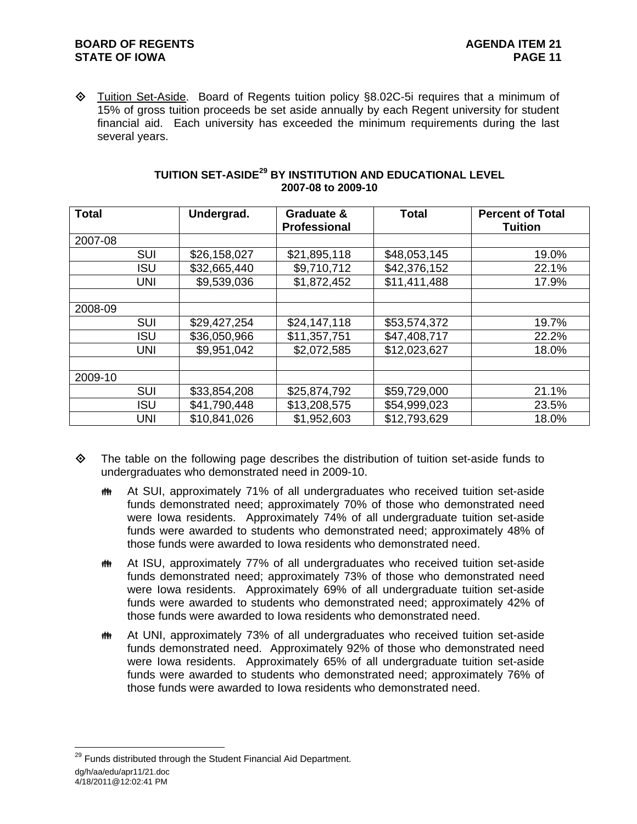♦ Tuition Set-Aside. Board of Regents tuition policy §8.02C-5i requires that a minimum of 15% of gross tuition proceeds be set aside annually by each Regent university for student financial aid. Each university has exceeded the minimum requirements during the last several years.

| <b>Total</b> |            | Undergrad.   | Graduate &<br><b>Professional</b> | <b>Total</b> | <b>Percent of Total</b><br><b>Tuition</b> |
|--------------|------------|--------------|-----------------------------------|--------------|-------------------------------------------|
| 2007-08      |            |              |                                   |              |                                           |
|              | <b>SUI</b> | \$26,158,027 | \$21,895,118                      | \$48,053,145 | 19.0%                                     |
|              | <b>ISU</b> | \$32,665,440 | \$9,710,712                       | \$42,376,152 | 22.1%                                     |
|              | <b>UNI</b> | \$9,539,036  | \$1,872,452                       | \$11,411,488 | 17.9%                                     |
|              |            |              |                                   |              |                                           |
| 2008-09      |            |              |                                   |              |                                           |
|              | <b>SUI</b> | \$29,427,254 | \$24,147,118                      | \$53,574,372 | 19.7%                                     |
|              | <b>ISU</b> | \$36,050,966 | \$11,357,751                      | \$47,408,717 | 22.2%                                     |
|              | <b>UNI</b> | \$9,951,042  | \$2,072,585                       | \$12,023,627 | 18.0%                                     |
|              |            |              |                                   |              |                                           |
| 2009-10      |            |              |                                   |              |                                           |
|              | <b>SUI</b> | \$33,854,208 | \$25,874,792                      | \$59,729,000 | 21.1%                                     |
|              | <b>ISU</b> | \$41,790,448 | \$13,208,575                      | \$54,999,023 | 23.5%                                     |
|              | <b>UNI</b> | \$10,841,026 | \$1,952,603                       | \$12,793,629 | 18.0%                                     |

## **TUITION SET-ASIDE29 BY INSTITUTION AND EDUCATIONAL LEVEL 2007-08 to 2009-10**

- The table on the following page describes the distribution of tuition set-aside funds to undergraduates who demonstrated need in 2009-10.
	- At SUI, approximately 71% of all undergraduates who received tuition set-aside funds demonstrated need; approximately 70% of those who demonstrated need were Iowa residents. Approximately 74% of all undergraduate tuition set-aside funds were awarded to students who demonstrated need; approximately 48% of those funds were awarded to Iowa residents who demonstrated need.
	- **##** At ISU, approximately 77% of all undergraduates who received tuition set-aside funds demonstrated need; approximately 73% of those who demonstrated need were Iowa residents. Approximately 69% of all undergraduate tuition set-aside funds were awarded to students who demonstrated need; approximately 42% of those funds were awarded to Iowa residents who demonstrated need.
	- **##** At UNI, approximately 73% of all undergraduates who received tuition set-aside funds demonstrated need. Approximately 92% of those who demonstrated need were Iowa residents. Approximately 65% of all undergraduate tuition set-aside funds were awarded to students who demonstrated need; approximately 76% of those funds were awarded to Iowa residents who demonstrated need.

dg/h/aa/edu/apr11/21.doc 4/18/2011@12:02:41 PM  $^{29}$  Funds distributed through the Student Financial Aid Department.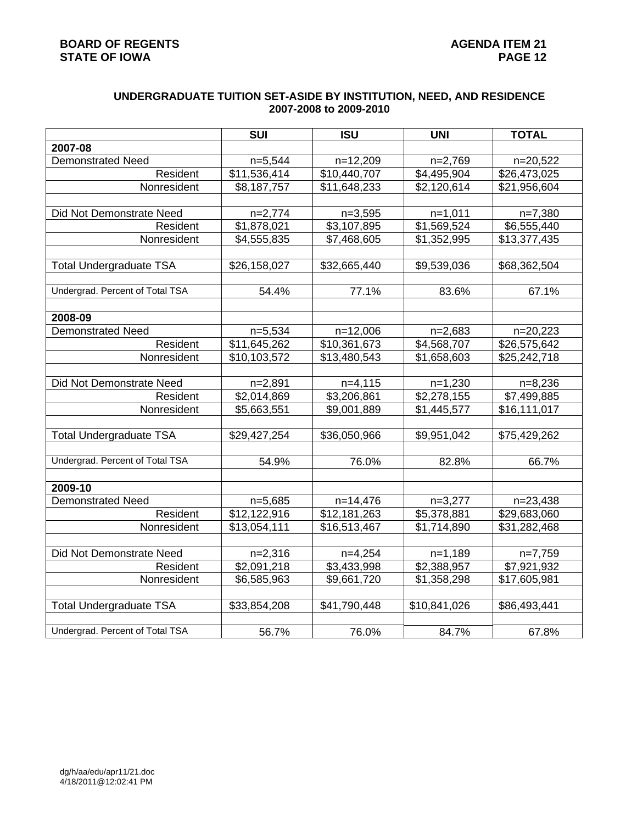## **UNDERGRADUATE TUITION SET-ASIDE BY INSTITUTION, NEED, AND RESIDENCE 2007-2008 to 2009-2010**

|                                 | <b>SUI</b>                | <b>ISU</b>   | <b>UNI</b>   | <b>TOTAL</b> |
|---------------------------------|---------------------------|--------------|--------------|--------------|
| 2007-08                         |                           |              |              |              |
| Demonstrated Need               | $n=5,544$                 | $n=12,209$   | $n=2,769$    | n=20,522     |
| Resident                        | \$11,536,414              | \$10,440,707 | \$4,495,904  | \$26,473,025 |
| Nonresident                     | \$8,187,757               | \$11,648,233 | \$2,120,614  | \$21,956,604 |
|                                 |                           |              |              |              |
| Did Not Demonstrate Need        | $n=2,774$                 | $n=3,595$    | $n=1,011$    | $n=7,380$    |
| Resident                        | $\overline{\$1,878,021}$  | \$3,107,895  | \$1,569,524  | \$6,555,440  |
| Nonresident                     | \$4,555,835               | \$7,468,605  | \$1,352,995  | \$13,377,435 |
|                                 |                           |              |              |              |
| <b>Total Undergraduate TSA</b>  | \$26,158,027              | \$32,665,440 | \$9,539,036  | \$68,362,504 |
|                                 |                           |              |              |              |
| Undergrad. Percent of Total TSA | 54.4%                     | 77.1%        | 83.6%        | 67.1%        |
|                                 |                           |              |              |              |
| 2008-09                         |                           |              |              |              |
| <b>Demonstrated Need</b>        | $n=5,534$                 | $n=12,006$   | $n=2,683$    | n=20,223     |
| Resident                        | $\overline{\$11,645,262}$ | \$10,361,673 | \$4,568,707  | \$26,575,642 |
| Nonresident                     | \$10,103,572              | \$13,480,543 | \$1,658,603  | \$25,242,718 |
|                                 |                           |              |              |              |
| Did Not Demonstrate Need        | $n=2,891$                 | $n=4,115$    | $n=1,230$    | $n=8,236$    |
| Resident                        | \$2,014,869               | \$3,206,861  | \$2,278,155  | \$7,499,885  |
| Nonresident                     | \$5,663,551               | \$9,001,889  | \$1,445,577  | \$16,111,017 |
|                                 |                           |              |              |              |
| <b>Total Undergraduate TSA</b>  | \$29,427,254              | \$36,050,966 | \$9,951,042  | \$75,429,262 |
|                                 |                           |              |              |              |
| Undergrad. Percent of Total TSA | 54.9%                     | 76.0%        | 82.8%        | 66.7%        |
|                                 |                           |              |              |              |
| 2009-10                         |                           |              |              |              |
| <b>Demonstrated Need</b>        | $n=5,685$                 | $n=14,476$   | $n=3,277$    | n=23,438     |
| Resident                        | \$12,122,916              | \$12,181,263 | \$5,378,881  | \$29,683,060 |
| Nonresident                     | \$13,054,111              | \$16,513,467 | \$1,714,890  | \$31,282,468 |
|                                 |                           |              |              |              |
| Did Not Demonstrate Need        | $n=2,316$                 | $n=4,254$    | $n=1,189$    | $n=7,759$    |
| Resident                        | \$2,091,218               | \$3,433,998  | \$2,388,957  | \$7,921,932  |
| Nonresident                     | \$6,585,963               | \$9,661,720  | \$1,358,298  | \$17,605,981 |
|                                 |                           |              |              |              |
| <b>Total Undergraduate TSA</b>  | \$33,854,208              | \$41,790,448 | \$10,841,026 | \$86,493,441 |
|                                 |                           |              |              |              |
| Undergrad. Percent of Total TSA | 56.7%                     | 76.0%        | 84.7%        | 67.8%        |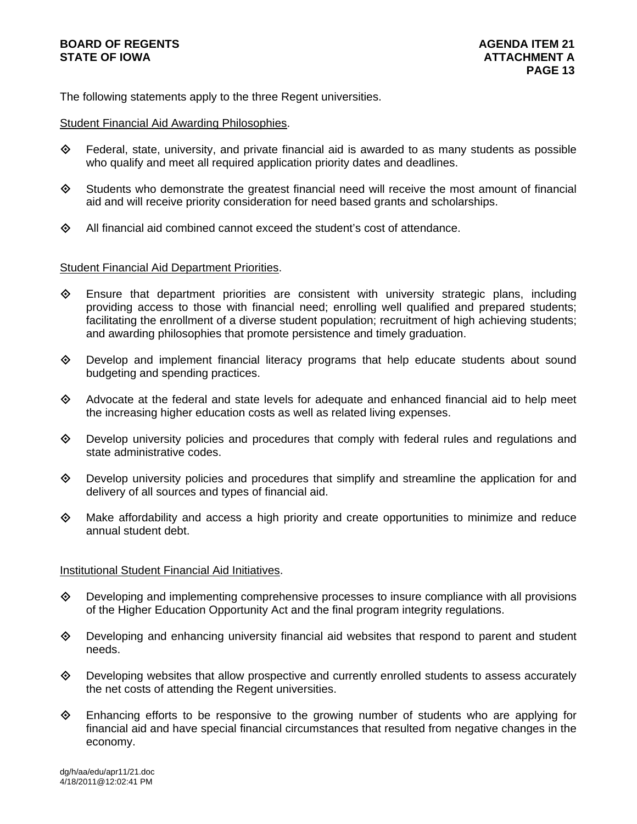# **BOARD OF REGENTS** AGENERAL BOARD OF REGENTS **STATE OF IOWA AND RESIDENT A LOCAL CONSUMING A LOCAL CONSUMING A LOCAL CONSUMING A LOCAL CONSUMING A LOCAL CONSUMING A LOCAL CONSUMING A LOCAL CONSUMING A LOCAL CONSUMING A LOCAL CONSUMING A LOCAL CONSUMING A LOCAL CONSUM**

The following statements apply to the three Regent universities.

### Student Financial Aid Awarding Philosophies.

- Federal, state, university, and private financial aid is awarded to as many students as possible who qualify and meet all required application priority dates and deadlines.
- $\diamondsuit$  Students who demonstrate the greatest financial need will receive the most amount of financial aid and will receive priority consideration for need based grants and scholarships.
- $\diamond$  All financial aid combined cannot exceed the student's cost of attendance.

### Student Financial Aid Department Priorities.

- $\diamondsuit$  Ensure that department priorities are consistent with university strategic plans, including providing access to those with financial need; enrolling well qualified and prepared students; facilitating the enrollment of a diverse student population; recruitment of high achieving students; and awarding philosophies that promote persistence and timely graduation.
- $\diamond$  Develop and implement financial literacy programs that help educate students about sound budgeting and spending practices.
- Advocate at the federal and state levels for adequate and enhanced financial aid to help meet the increasing higher education costs as well as related living expenses.
- $\diamond$  Develop university policies and procedures that comply with federal rules and regulations and state administrative codes.
- $\Diamond$  Develop university policies and procedures that simplify and streamline the application for and delivery of all sources and types of financial aid.
- $\diamondsuit$  Make affordability and access a high priority and create opportunities to minimize and reduce annual student debt.

### Institutional Student Financial Aid Initiatives.

- $\Diamond$  Developing and implementing comprehensive processes to insure compliance with all provisions of the Higher Education Opportunity Act and the final program integrity regulations.
- $\Diamond$  Developing and enhancing university financial aid websites that respond to parent and student needs.
- $\Diamond$  Developing websites that allow prospective and currently enrolled students to assess accurately the net costs of attending the Regent universities.
- Enhancing efforts to be responsive to the growing number of students who are applying for financial aid and have special financial circumstances that resulted from negative changes in the economy.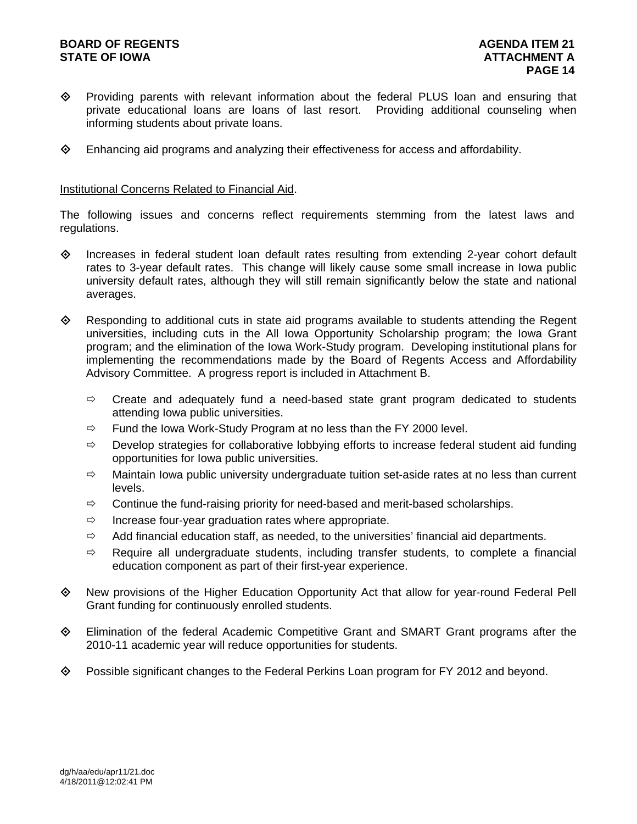## **BOARD OF REGENTS AGENER AGENERAL LIMIT CONTROL STATE OF IOWA AND RESIDENT A LOCAL CONSUMING A LOCAL CONSUMING A LOCAL CONSUMING A LOCAL CONSUMING A LOCAL CONSUMING A LOCAL CONSUMING A LOCAL CONSUMING A LOCAL CONSUMING A LOCAL CONSUMING A LOCAL CONSUMING A LOCAL CONSUM**

- Providing parents with relevant information about the federal PLUS loan and ensuring that private educational loans are loans of last resort. Providing additional counseling when informing students about private loans.
- $\diamond$  Enhancing aid programs and analyzing their effectiveness for access and affordability.

### Institutional Concerns Related to Financial Aid.

The following issues and concerns reflect requirements stemming from the latest laws and regulations.

- $\diamond$  Increases in federal student loan default rates resulting from extending 2-year cohort default rates to 3-year default rates. This change will likely cause some small increase in Iowa public university default rates, although they will still remain significantly below the state and national averages.
- $\Diamond$  Responding to additional cuts in state aid programs available to students attending the Regent universities, including cuts in the All Iowa Opportunity Scholarship program; the Iowa Grant program; and the elimination of the Iowa Work-Study program. Developing institutional plans for implementing the recommendations made by the Board of Regents Access and Affordability Advisory Committee. A progress report is included in Attachment B.
	- $\Rightarrow$  Create and adequately fund a need-based state grant program dedicated to students attending Iowa public universities.
	- $\Rightarrow$  Fund the Iowa Work-Study Program at no less than the FY 2000 level.
	- $\Rightarrow$  Develop strategies for collaborative lobbying efforts to increase federal student aid funding opportunities for Iowa public universities.
	- $\Rightarrow$  Maintain Iowa public university undergraduate tuition set-aside rates at no less than current levels.
	- $\Rightarrow$  Continue the fund-raising priority for need-based and merit-based scholarships.
	- $\Rightarrow$  Increase four-year graduation rates where appropriate.
	- $\Rightarrow$  Add financial education staff, as needed, to the universities' financial aid departments.
	- $\Rightarrow$  Require all undergraduate students, including transfer students, to complete a financial education component as part of their first-year experience.
- New provisions of the Higher Education Opportunity Act that allow for year-round Federal Pell Grant funding for continuously enrolled students.
- Elimination of the federal Academic Competitive Grant and SMART Grant programs after the 2010-11 academic year will reduce opportunities for students.
- $\diamond$  Possible significant changes to the Federal Perkins Loan program for FY 2012 and beyond.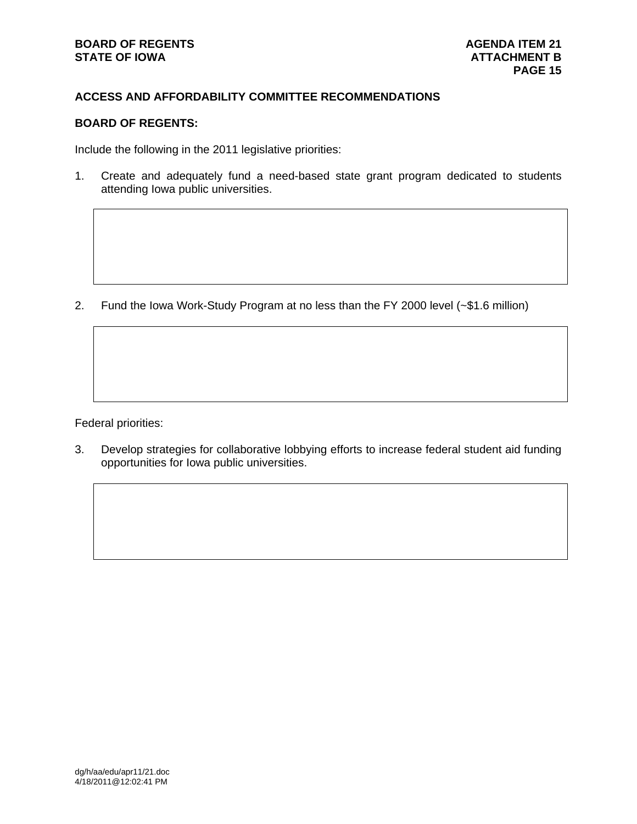## **ACCESS AND AFFORDABILITY COMMITTEE RECOMMENDATIONS**

# **BOARD OF REGENTS:**

Include the following in the 2011 legislative priorities:

1. Create and adequately fund a need-based state grant program dedicated to students attending Iowa public universities.

2. Fund the Iowa Work-Study Program at no less than the FY 2000 level (~\$1.6 million)

Federal priorities:

3. Develop strategies for collaborative lobbying efforts to increase federal student aid funding opportunities for Iowa public universities.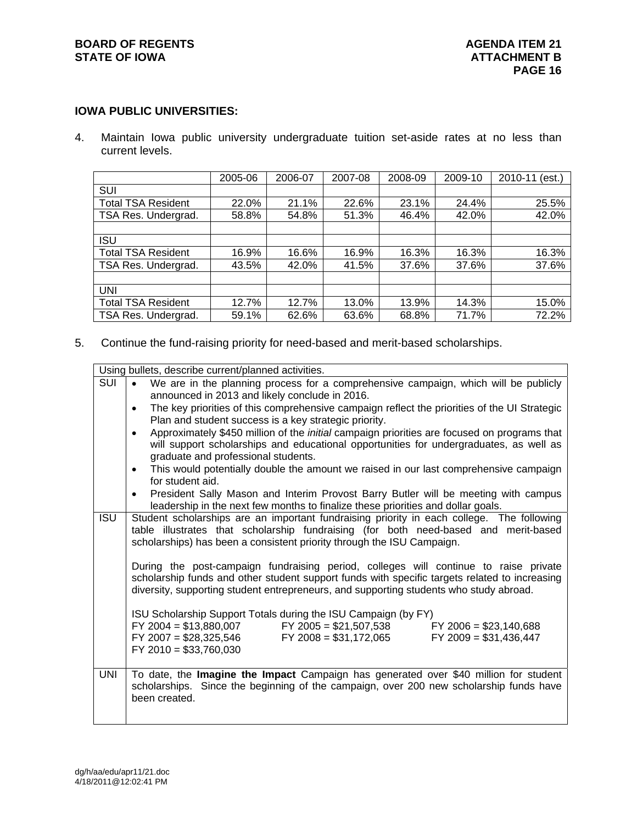## **IOWA PUBLIC UNIVERSITIES:**

4. Maintain Iowa public university undergraduate tuition set-aside rates at no less than current levels.

|                           | 2005-06 | 2006-07 | 2007-08 | 2008-09 | 2009-10 | 2010-11 (est.) |
|---------------------------|---------|---------|---------|---------|---------|----------------|
| SUI                       |         |         |         |         |         |                |
| <b>Total TSA Resident</b> | 22.0%   | 21.1%   | 22.6%   | 23.1%   | 24.4%   | 25.5%          |
| TSA Res. Undergrad.       | 58.8%   | 54.8%   | 51.3%   | 46.4%   | 42.0%   | 42.0%          |
|                           |         |         |         |         |         |                |
| <b>ISU</b>                |         |         |         |         |         |                |
| <b>Total TSA Resident</b> | 16.9%   | 16.6%   | 16.9%   | 16.3%   | 16.3%   | 16.3%          |
| TSA Res. Undergrad.       | 43.5%   | 42.0%   | 41.5%   | 37.6%   | 37.6%   | 37.6%          |
|                           |         |         |         |         |         |                |
| <b>UNI</b>                |         |         |         |         |         |                |
| <b>Total TSA Resident</b> | 12.7%   | 12.7%   | 13.0%   | 13.9%   | 14.3%   | 15.0%          |
| TSA Res. Undergrad.       | 59.1%   | 62.6%   | 63.6%   | 68.8%   | 71.7%   | 72.2%          |

5. Continue the fund-raising priority for need-based and merit-based scholarships.

|            | Using bullets, describe current/planned activities.                                                                                                                                                                                                                                                                                                                                                                                                                                                                                                                                                                                                                                                                                                                                                                 |
|------------|---------------------------------------------------------------------------------------------------------------------------------------------------------------------------------------------------------------------------------------------------------------------------------------------------------------------------------------------------------------------------------------------------------------------------------------------------------------------------------------------------------------------------------------------------------------------------------------------------------------------------------------------------------------------------------------------------------------------------------------------------------------------------------------------------------------------|
| <b>SUI</b> | We are in the planning process for a comprehensive campaign, which will be publicly<br>$\bullet$<br>announced in 2013 and likely conclude in 2016.<br>The key priorities of this comprehensive campaign reflect the priorities of the UI Strategic<br>$\bullet$<br>Plan and student success is a key strategic priority.<br>Approximately \$450 million of the initial campaign priorities are focused on programs that<br>$\bullet$<br>will support scholarships and educational opportunities for undergraduates, as well as<br>graduate and professional students.<br>This would potentially double the amount we raised in our last comprehensive campaign<br>$\bullet$<br>for student aid.                                                                                                                     |
|            | President Sally Mason and Interim Provost Barry Butler will be meeting with campus<br>$\bullet$<br>leadership in the next few months to finalize these priorities and dollar goals.                                                                                                                                                                                                                                                                                                                                                                                                                                                                                                                                                                                                                                 |
| <b>ISU</b> | Student scholarships are an important fundraising priority in each college. The following<br>table illustrates that scholarship fundraising (for both need-based and merit-based<br>scholarships) has been a consistent priority through the ISU Campaign.<br>During the post-campaign fundraising period, colleges will continue to raise private<br>scholarship funds and other student support funds with specific targets related to increasing<br>diversity, supporting student entrepreneurs, and supporting students who study abroad.<br>ISU Scholarship Support Totals during the ISU Campaign (by FY)<br>$FY$ 2004 = \$13,880,007<br>$FY$ 2005 = \$21,507,538<br>$FY$ 2006 = \$23,140,688<br>$FY$ 2008 = \$31,172,065<br>$FY$ 2007 = \$28,325,546<br>$FY$ 2009 = \$31,436,447<br>$FY$ 2010 = \$33,760,030 |
| <b>UNI</b> | To date, the Imagine the Impact Campaign has generated over \$40 million for student<br>scholarships. Since the beginning of the campaign, over 200 new scholarship funds have<br>been created.                                                                                                                                                                                                                                                                                                                                                                                                                                                                                                                                                                                                                     |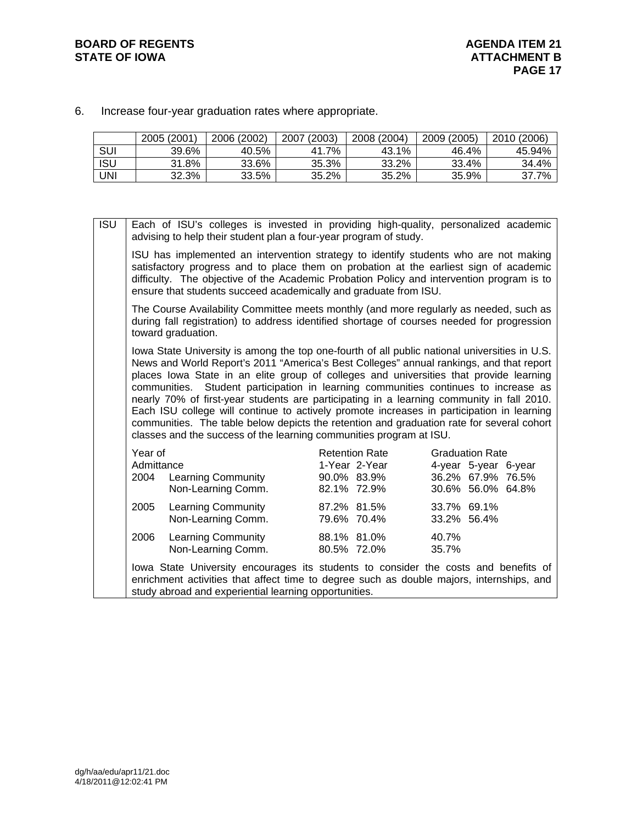**BOARD OF REGENTS**<br> **BOARD OF REGENTS**<br> **BOARD OF IOWA**<br> **ATTACHMENT B** 

6. Increase four-year graduation rates where appropriate.

|            | 2005 (2001) | 2006 (2002) | (2003)<br>2007 | 2008 (2004) | 2009 (2005) | 2010 (2006) |
|------------|-------------|-------------|----------------|-------------|-------------|-------------|
| SUI        | 39.6%       | 40.5%       | 41.7%          | 43.1%       | 46.4%       | 45.94%      |
| <b>ISU</b> | 31.8%       | 33.6%       | 35.3%          | 33.2%       | 33.4%       | 34.4%       |
| UNI        | 32.3%       | 33.5%       | 35.2%          | 35.2%       | 35.9%       | 37.7%       |

ISU Each of ISU's colleges is invested in providing high-quality, personalized academic

| advising to help their student plan a four-year program of study.                                                                                                                                                                                                                                                                                                                                                                                                                                                                                                                                                                                                                                                                       |                                                                      |                                                                                          |
|-----------------------------------------------------------------------------------------------------------------------------------------------------------------------------------------------------------------------------------------------------------------------------------------------------------------------------------------------------------------------------------------------------------------------------------------------------------------------------------------------------------------------------------------------------------------------------------------------------------------------------------------------------------------------------------------------------------------------------------------|----------------------------------------------------------------------|------------------------------------------------------------------------------------------|
| ISU has implemented an intervention strategy to identify students who are not making<br>satisfactory progress and to place them on probation at the earliest sign of academic<br>difficulty. The objective of the Academic Probation Policy and intervention program is to<br>ensure that students succeed academically and graduate from ISU.                                                                                                                                                                                                                                                                                                                                                                                          |                                                                      |                                                                                          |
| The Course Availability Committee meets monthly (and more regularly as needed, such as<br>during fall registration) to address identified shortage of courses needed for progression<br>toward graduation.                                                                                                                                                                                                                                                                                                                                                                                                                                                                                                                              |                                                                      |                                                                                          |
| lowa State University is among the top one-fourth of all public national universities in U.S.<br>News and World Report's 2011 "America's Best Colleges" annual rankings, and that report<br>places lowa State in an elite group of colleges and universities that provide learning<br>communities. Student participation in learning communities continues to increase as<br>nearly 70% of first-year students are participating in a learning community in fall 2010.<br>Each ISU college will continue to actively promote increases in participation in learning<br>communities. The table below depicts the retention and graduation rate for several cohort<br>classes and the success of the learning communities program at ISU. |                                                                      |                                                                                          |
| Year of<br>Admittance<br>2004 Learning Community<br>Non-Learning Comm.                                                                                                                                                                                                                                                                                                                                                                                                                                                                                                                                                                                                                                                                  | <b>Retention Rate</b><br>1-Year 2-Year<br>90.0% 83.9%<br>82.1% 72.9% | <b>Graduation Rate</b><br>4-year 5-year 6-year<br>36.2% 67.9% 76.5%<br>30.6% 56.0% 64.8% |
| 2005<br><b>Learning Community</b><br>Non-Learning Comm.                                                                                                                                                                                                                                                                                                                                                                                                                                                                                                                                                                                                                                                                                 | 87.2% 81.5%<br>79.6% 70.4%                                           | 33.7% 69.1%<br>33.2% 56.4%                                                               |
| 2006<br><b>Learning Community</b><br>Non-Learning Comm.                                                                                                                                                                                                                                                                                                                                                                                                                                                                                                                                                                                                                                                                                 | 88.1% 81.0%<br>80.5% 72.0%                                           | 40.7%<br>35.7%                                                                           |
| lowa State University encourages its students to consider the costs and benefits of<br>enrichment activities that affect time to degree such as double majors, internships, and<br>study abroad and experiential learning opportunities.                                                                                                                                                                                                                                                                                                                                                                                                                                                                                                |                                                                      |                                                                                          |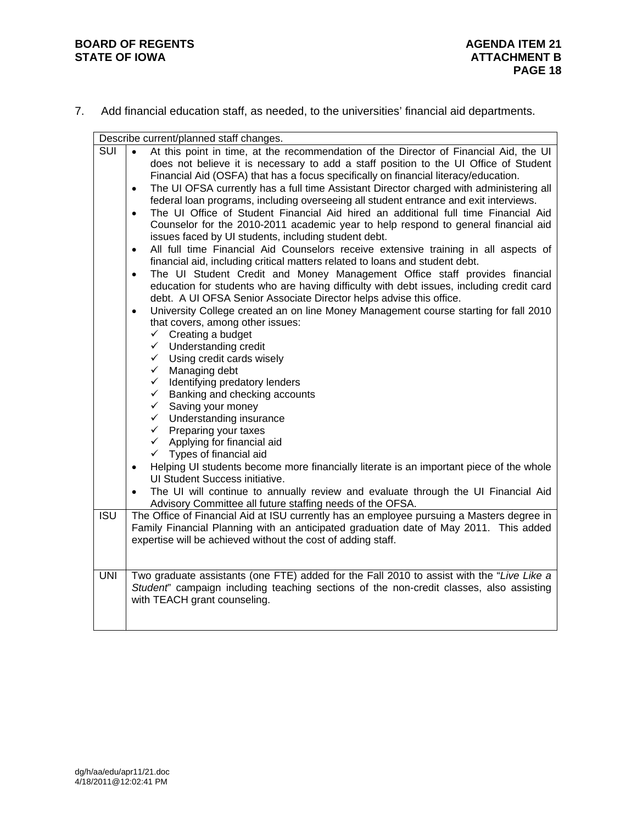7. Add financial education staff, as needed, to the universities' financial aid departments.

|                  | Describe current/planned staff changes.                                                                                                                                                                                                                                                                                                                                                                                                                                                                                                                                                                                                                                                                                                                                                                                                                                                                                                                                                                                                                                                                                                                                                                                                                                                                                                                                                                                                                                                                                                                                                                                                                                                                                                                                                                                                                                                                                                                                                                                                                                      |
|------------------|------------------------------------------------------------------------------------------------------------------------------------------------------------------------------------------------------------------------------------------------------------------------------------------------------------------------------------------------------------------------------------------------------------------------------------------------------------------------------------------------------------------------------------------------------------------------------------------------------------------------------------------------------------------------------------------------------------------------------------------------------------------------------------------------------------------------------------------------------------------------------------------------------------------------------------------------------------------------------------------------------------------------------------------------------------------------------------------------------------------------------------------------------------------------------------------------------------------------------------------------------------------------------------------------------------------------------------------------------------------------------------------------------------------------------------------------------------------------------------------------------------------------------------------------------------------------------------------------------------------------------------------------------------------------------------------------------------------------------------------------------------------------------------------------------------------------------------------------------------------------------------------------------------------------------------------------------------------------------------------------------------------------------------------------------------------------------|
| <b>SUI</b>       | At this point in time, at the recommendation of the Director of Financial Aid, the UI<br>$\bullet$<br>does not believe it is necessary to add a staff position to the UI Office of Student<br>Financial Aid (OSFA) that has a focus specifically on financial literacy/education.<br>The UI OFSA currently has a full time Assistant Director charged with administering all<br>$\bullet$<br>federal loan programs, including overseeing all student entrance and exit interviews.<br>The UI Office of Student Financial Aid hired an additional full time Financial Aid<br>$\bullet$<br>Counselor for the 2010-2011 academic year to help respond to general financial aid<br>issues faced by UI students, including student debt.<br>All full time Financial Aid Counselors receive extensive training in all aspects of<br>$\bullet$<br>financial aid, including critical matters related to loans and student debt.<br>The UI Student Credit and Money Management Office staff provides financial<br>$\bullet$<br>education for students who are having difficulty with debt issues, including credit card<br>debt. A UI OFSA Senior Associate Director helps advise this office.<br>University College created an on line Money Management course starting for fall 2010<br>$\bullet$<br>that covers, among other issues:<br>$\checkmark$ Creating a budget<br>$\checkmark$ Understanding credit<br>$\checkmark$ Using credit cards wisely<br>$\checkmark$ Managing debt<br>$\checkmark$ Identifying predatory lenders<br>$\checkmark$ Banking and checking accounts<br>$\checkmark$ Saving your money<br>$\checkmark$ Understanding insurance<br>$\checkmark$ Preparing your taxes<br>$\checkmark$<br>Applying for financial aid<br>Types of financial aid<br>$\checkmark$<br>Helping UI students become more financially literate is an important piece of the whole<br>$\bullet$<br>UI Student Success initiative.<br>The UI will continue to annually review and evaluate through the UI Financial Aid<br>Advisory Committee all future staffing needs of the OFSA. |
| $\overline{ISU}$ | The Office of Financial Aid at ISU currently has an employee pursuing a Masters degree in<br>Family Financial Planning with an anticipated graduation date of May 2011. This added<br>expertise will be achieved without the cost of adding staff.                                                                                                                                                                                                                                                                                                                                                                                                                                                                                                                                                                                                                                                                                                                                                                                                                                                                                                                                                                                                                                                                                                                                                                                                                                                                                                                                                                                                                                                                                                                                                                                                                                                                                                                                                                                                                           |
| <b>UNI</b>       | Two graduate assistants (one FTE) added for the Fall 2010 to assist with the "Live Like a<br>Student' campaign including teaching sections of the non-credit classes, also assisting<br>with TEACH grant counseling.                                                                                                                                                                                                                                                                                                                                                                                                                                                                                                                                                                                                                                                                                                                                                                                                                                                                                                                                                                                                                                                                                                                                                                                                                                                                                                                                                                                                                                                                                                                                                                                                                                                                                                                                                                                                                                                         |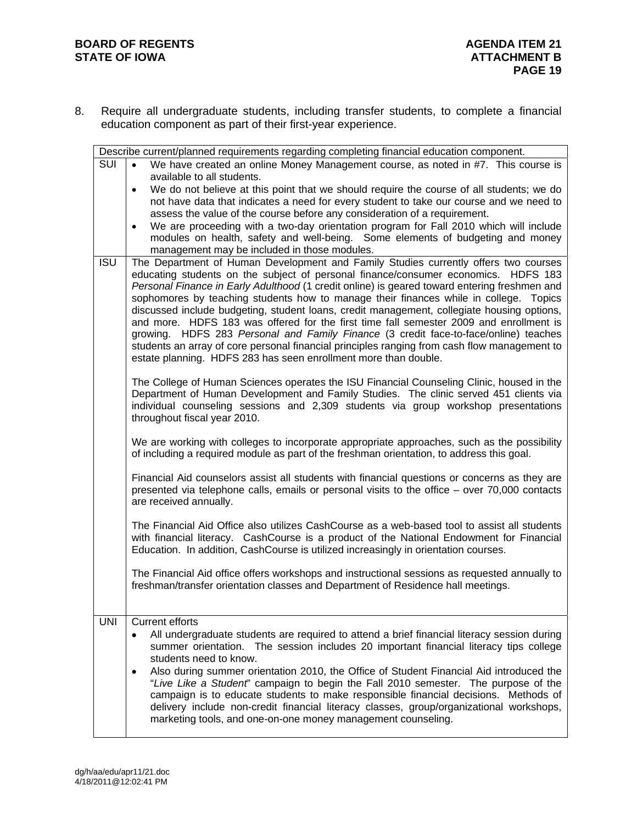8. Require all undergraduate students, including transfer students, to complete a financial education component as part of their first-year experience.

|            | Describe current/planned requirements regarding completing financial education component.                                                                                                                                                                                                                                                                                                                                                                                                                                                                                                                                                                                                                                                                                                                             |
|------------|-----------------------------------------------------------------------------------------------------------------------------------------------------------------------------------------------------------------------------------------------------------------------------------------------------------------------------------------------------------------------------------------------------------------------------------------------------------------------------------------------------------------------------------------------------------------------------------------------------------------------------------------------------------------------------------------------------------------------------------------------------------------------------------------------------------------------|
| SUI        | $\bullet$<br>We have created an online Money Management course, as noted in #7. This course is<br>available to all students.<br>We do not believe at this point that we should require the course of all students; we do<br>$\bullet$<br>not have data that indicates a need for every student to take our course and we need to<br>assess the value of the course before any consideration of a requirement.                                                                                                                                                                                                                                                                                                                                                                                                         |
|            | We are proceeding with a two-day orientation program for Fall 2010 which will include<br>$\bullet$<br>modules on health, safety and well-being. Some elements of budgeting and money<br>management may be included in those modules.                                                                                                                                                                                                                                                                                                                                                                                                                                                                                                                                                                                  |
| <b>ISU</b> | The Department of Human Development and Family Studies currently offers two courses<br>educating students on the subject of personal finance/consumer economics. HDFS 183<br>Personal Finance in Early Adulthood (1 credit online) is geared toward entering freshmen and<br>sophomores by teaching students how to manage their finances while in college. Topics<br>discussed include budgeting, student loans, credit management, collegiate housing options,<br>and more. HDFS 183 was offered for the first time fall semester 2009 and enrollment is<br>growing. HDFS 283 Personal and Family Finance (3 credit face-to-face/online) teaches<br>students an array of core personal financial principles ranging from cash flow management to<br>estate planning. HDFS 283 has seen enrollment more than double. |
|            | The College of Human Sciences operates the ISU Financial Counseling Clinic, housed in the<br>Department of Human Development and Family Studies. The clinic served 451 clients via<br>individual counseling sessions and 2,309 students via group workshop presentations<br>throughout fiscal year 2010.                                                                                                                                                                                                                                                                                                                                                                                                                                                                                                              |
|            | We are working with colleges to incorporate appropriate approaches, such as the possibility<br>of including a required module as part of the freshman orientation, to address this goal.                                                                                                                                                                                                                                                                                                                                                                                                                                                                                                                                                                                                                              |
|            | Financial Aid counselors assist all students with financial questions or concerns as they are<br>presented via telephone calls, emails or personal visits to the office - over 70,000 contacts<br>are received annually.                                                                                                                                                                                                                                                                                                                                                                                                                                                                                                                                                                                              |
|            | The Financial Aid Office also utilizes CashCourse as a web-based tool to assist all students<br>with financial literacy. CashCourse is a product of the National Endowment for Financial<br>Education. In addition, CashCourse is utilized increasingly in orientation courses.                                                                                                                                                                                                                                                                                                                                                                                                                                                                                                                                       |
|            | The Financial Aid office offers workshops and instructional sessions as requested annually to<br>freshman/transfer orientation classes and Department of Residence hall meetings.                                                                                                                                                                                                                                                                                                                                                                                                                                                                                                                                                                                                                                     |
| <b>UNI</b> | <b>Current efforts</b><br>All undergraduate students are required to attend a brief financial literacy session during<br>summer orientation. The session includes 20 important financial literacy tips college<br>students need to know.<br>Also during summer orientation 2010, the Office of Student Financial Aid introduced the<br>٠<br>"Live Like a Student" campaign to begin the Fall 2010 semester. The purpose of the<br>campaign is to educate students to make responsible financial decisions. Methods of<br>delivery include non-credit financial literacy classes, group/organizational workshops,<br>marketing tools, and one-on-one money management counseling.                                                                                                                                      |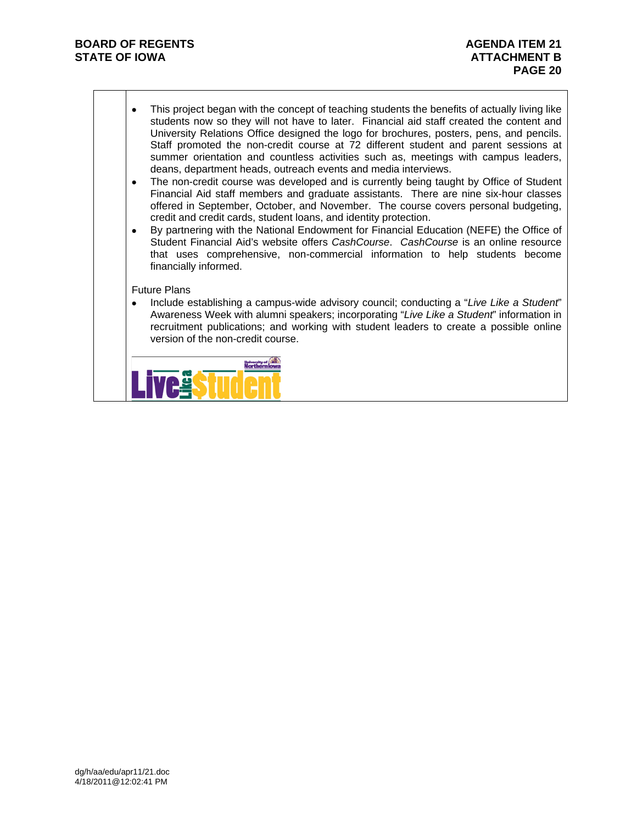- This project began with the concept of teaching students the benefits of actually living like students now so they will not have to later. Financial aid staff created the content and University Relations Office designed the logo for brochures, posters, pens, and pencils. Staff promoted the non-credit course at 72 different student and parent sessions at summer orientation and countless activities such as, meetings with campus leaders, deans, department heads, outreach events and media interviews.
- The non-credit course was developed and is currently being taught by Office of Student Financial Aid staff members and graduate assistants. There are nine six-hour classes offered in September, October, and November. The course covers personal budgeting, credit and credit cards, student loans, and identity protection.
- By partnering with the National Endowment for Financial Education (NEFE) the Office of Student Financial Aid's website offers *CashCourse*. *CashCourse* is an online resource that uses comprehensive, non-commercial information to help students become financially informed.

#### Future Plans

 Include establishing a campus-wide advisory council; conducting a "*Live Like a Student*" Awareness Week with alumni speakers; incorporating "*Live Like a Student*" information in recruitment publications; and working with student leaders to create a possible online version of the non-credit course.